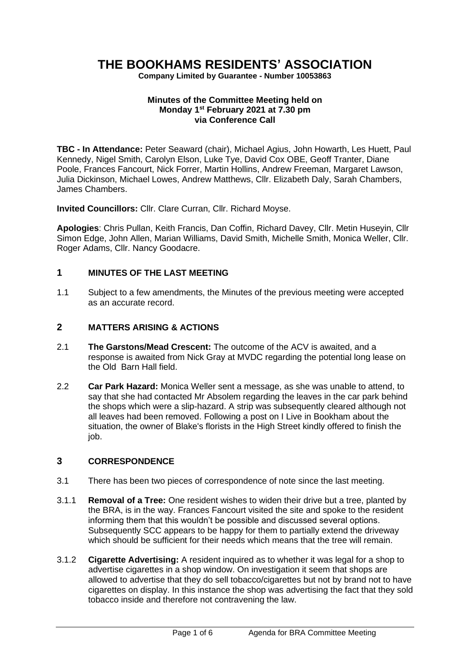# **THE BOOKHAMS RESIDENTS' ASSOCIATION**

**Company Limited by Guarantee - Number 10053863**

#### **Minutes of the Committee Meeting held on Monday 1 st February 2021 at 7.30 pm via Conference Call**

**TBC - In Attendance:** Peter Seaward (chair), Michael Agius, John Howarth, Les Huett, Paul Kennedy, Nigel Smith, Carolyn Elson, Luke Tye, David Cox OBE, Geoff Tranter, Diane Poole, Frances Fancourt, Nick Forrer, Martin Hollins, Andrew Freeman, Margaret Lawson, Julia Dickinson, Michael Lowes, Andrew Matthews, Cllr. Elizabeth Daly, Sarah Chambers, James Chambers.

**Invited Councillors:** Cllr. Clare Curran, Cllr. Richard Moyse.

**Apologies**: Chris Pullan, Keith Francis, Dan Coffin, Richard Davey, Cllr. Metin Huseyin, Cllr Simon Edge, John Allen, Marian Williams, David Smith, Michelle Smith, Monica Weller, Cllr. Roger Adams, Cllr. Nancy Goodacre.

# **1 MINUTES OF THE LAST MEETING**

1.1 Subject to a few amendments, the Minutes of the previous meeting were accepted as an accurate record.

## **2 MATTERS ARISING & ACTIONS**

- 2.1 **The Garstons/Mead Crescent:** The outcome of the ACV is awaited, and a response is awaited from Nick Gray at MVDC regarding the potential long lease on the Old Barn Hall field.
- 2.2 **Car Park Hazard:** Monica Weller sent a message, as she was unable to attend, to say that she had contacted Mr Absolem regarding the leaves in the car park behind the shops which were a slip-hazard. A strip was subsequently cleared although not all leaves had been removed. Following a post on I Live in Bookham about the situation, the owner of Blake's florists in the High Street kindly offered to finish the job.

# **3 CORRESPONDENCE**

- 3.1 There has been two pieces of correspondence of note since the last meeting.
- 3.1.1 **Removal of a Tree:** One resident wishes to widen their drive but a tree, planted by the BRA, is in the way. Frances Fancourt visited the site and spoke to the resident informing them that this wouldn't be possible and discussed several options. Subsequently SCC appears to be happy for them to partially extend the driveway which should be sufficient for their needs which means that the tree will remain.
- 3.1.2 **Cigarette Advertising:** A resident inquired as to whether it was legal for a shop to advertise cigarettes in a shop window. On investigation it seem that shops are allowed to advertise that they do sell tobacco/cigarettes but not by brand not to have cigarettes on display. In this instance the shop was advertising the fact that they sold tobacco inside and therefore not contravening the law.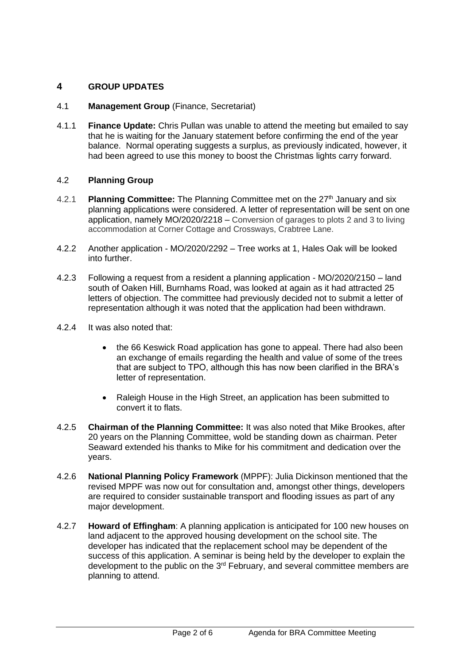# **4 GROUP UPDATES**

## 4.1 **Management Group** (Finance, Secretariat)

4.1.1 **Finance Update:** Chris Pullan was unable to attend the meeting but emailed to say that he is waiting for the January statement before confirming the end of the year balance. Normal operating suggests a surplus, as previously indicated, however, it had been agreed to use this money to boost the Christmas lights carry forward.

#### 4.2 **Planning Group**

- 4.2.1 **Planning Committee:** The Planning Committee met on the 27<sup>th</sup> January and six planning applications were considered. A letter of representation will be sent on one application, namely MO/2020/2218 – Conversion of garages to plots 2 and 3 to living accommodation at Corner Cottage and Crossways, Crabtree Lane.
- 4.2.2 Another application MO/2020/2292 Tree works at 1, Hales Oak will be looked into further.
- 4.2.3 Following a request from a resident a planning application MO/2020/2150 land south of Oaken Hill, Burnhams Road, was looked at again as it had attracted 25 letters of objection. The committee had previously decided not to submit a letter of representation although it was noted that the application had been withdrawn.
- 4.2.4 It was also noted that:
	- the 66 Keswick Road application has gone to appeal. There had also been an exchange of emails regarding the health and value of some of the trees that are subject to TPO, although this has now been clarified in the BRA's letter of representation.
	- Raleigh House in the High Street, an application has been submitted to convert it to flats.
- 4.2.5 **Chairman of the Planning Committee:** It was also noted that Mike Brookes, after 20 years on the Planning Committee, wold be standing down as chairman. Peter Seaward extended his thanks to Mike for his commitment and dedication over the years.
- 4.2.6 **National Planning Policy Framework** (MPPF): Julia Dickinson mentioned that the revised MPPF was now out for consultation and, amongst other things, developers are required to consider sustainable transport and flooding issues as part of any major development.
- 4.2.7 **Howard of Effingham**: A planning application is anticipated for 100 new houses on land adjacent to the approved housing development on the school site. The developer has indicated that the replacement school may be dependent of the success of this application. A seminar is being held by the developer to explain the development to the public on the 3rd February, and several committee members are planning to attend.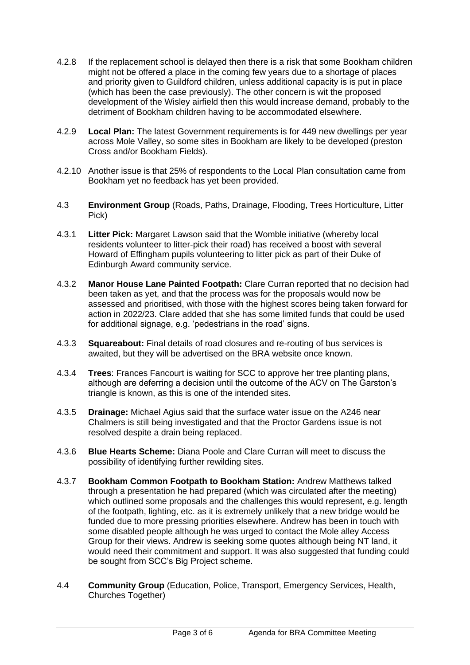- 4.2.8 If the replacement school is delayed then there is a risk that some Bookham children might not be offered a place in the coming few years due to a shortage of places and priority given to Guildford children, unless additional capacity is is put in place (which has been the case previously). The other concern is wit the proposed development of the Wisley airfield then this would increase demand, probably to the detriment of Bookham children having to be accommodated elsewhere.
- 4.2.9 **Local Plan:** The latest Government requirements is for 449 new dwellings per year across Mole Valley, so some sites in Bookham are likely to be developed (preston Cross and/or Bookham Fields).
- 4.2.10 Another issue is that 25% of respondents to the Local Plan consultation came from Bookham yet no feedback has yet been provided.
- 4.3 **Environment Group** (Roads, Paths, Drainage, Flooding, Trees Horticulture, Litter Pick)
- 4.3.1 **Litter Pick:** Margaret Lawson said that the Womble initiative (whereby local residents volunteer to litter-pick their road) has received a boost with several Howard of Effingham pupils volunteering to litter pick as part of their Duke of Edinburgh Award community service.
- 4.3.2 **Manor House Lane Painted Footpath:** Clare Curran reported that no decision had been taken as yet, and that the process was for the proposals would now be assessed and prioritised, with those with the highest scores being taken forward for action in 2022/23. Clare added that she has some limited funds that could be used for additional signage, e.g. 'pedestrians in the road' signs.
- 4.3.3 **Squareabout:** Final details of road closures and re-routing of bus services is awaited, but they will be advertised on the BRA website once known.
- 4.3.4 **Trees**: Frances Fancourt is waiting for SCC to approve her tree planting plans, although are deferring a decision until the outcome of the ACV on The Garston's triangle is known, as this is one of the intended sites.
- 4.3.5 **Drainage:** Michael Agius said that the surface water issue on the A246 near Chalmers is still being investigated and that the Proctor Gardens issue is not resolved despite a drain being replaced.
- 4.3.6 **Blue Hearts Scheme:** Diana Poole and Clare Curran will meet to discuss the possibility of identifying further rewilding sites.
- 4.3.7 **Bookham Common Footpath to Bookham Station:** Andrew Matthews talked through a presentation he had prepared (which was circulated after the meeting) which outlined some proposals and the challenges this would represent, e.g. length of the footpath, lighting, etc. as it is extremely unlikely that a new bridge would be funded due to more pressing priorities elsewhere. Andrew has been in touch with some disabled people although he was urged to contact the Mole alley Access Group for their views. Andrew is seeking some quotes although being NT land, it would need their commitment and support. It was also suggested that funding could be sought from SCC's Big Project scheme.
- 4.4 **Community Group** (Education, Police, Transport, Emergency Services, Health, Churches Together)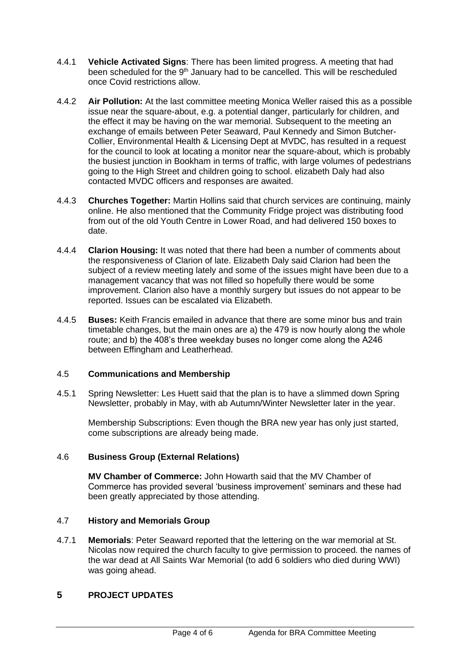- 4.4.1 **Vehicle Activated Signs**: There has been limited progress. A meeting that had been scheduled for the 9<sup>th</sup> January had to be cancelled. This will be rescheduled once Covid restrictions allow.
- 4.4.2 **Air Pollution:** At the last committee meeting Monica Weller raised this as a possible issue near the square-about, e.g. a potential danger, particularly for children, and the effect it may be having on the war memorial. Subsequent to the meeting an exchange of emails between Peter Seaward, Paul Kennedy and Simon Butcher-Collier, Environmental Health & Licensing Dept at MVDC, has resulted in a request for the council to look at locating a monitor near the square-about, which is probably the busiest junction in Bookham in terms of traffic, with large volumes of pedestrians going to the High Street and children going to school. elizabeth Daly had also contacted MVDC officers and responses are awaited.
- 4.4.3 **Churches Together:** Martin Hollins said that church services are continuing, mainly online. He also mentioned that the Community Fridge project was distributing food from out of the old Youth Centre in Lower Road, and had delivered 150 boxes to date.
- 4.4.4 **Clarion Housing:** It was noted that there had been a number of comments about the responsiveness of Clarion of late. Elizabeth Daly said Clarion had been the subject of a review meeting lately and some of the issues might have been due to a management vacancy that was not filled so hopefully there would be some improvement. Clarion also have a monthly surgery but issues do not appear to be reported. Issues can be escalated via Elizabeth.
- 4.4.5 **Buses:** Keith Francis emailed in advance that there are some minor bus and train timetable changes, but the main ones are a) the 479 is now hourly along the whole route; and b) the 408's three weekday buses no longer come along the A246 between Effingham and Leatherhead.

#### 4.5 **Communications and Membership**

4.5.1 Spring Newsletter: Les Huett said that the plan is to have a slimmed down Spring Newsletter, probably in May, with ab Autumn/Winter Newsletter later in the year.

Membership Subscriptions: Even though the BRA new year has only just started, come subscriptions are already being made.

#### 4.6 **Business Group (External Relations)**

**MV Chamber of Commerce:** John Howarth said that the MV Chamber of Commerce has provided several 'business improvement' seminars and these had been greatly appreciated by those attending.

#### 4.7 **History and Memorials Group**

4.7.1 **Memorials**: Peter Seaward reported that the lettering on the war memorial at St. Nicolas now required the church faculty to give permission to proceed. the names of the war dead at All Saints War Memorial (to add 6 soldiers who died during WWI) was going ahead.

## **5 PROJECT UPDATES**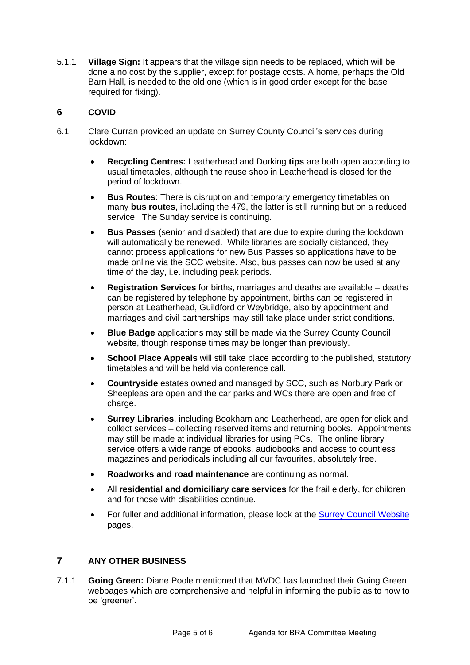5.1.1 **Village Sign:** It appears that the village sign needs to be replaced, which will be done a no cost by the supplier, except for postage costs. A home, perhaps the Old Barn Hall, is needed to the old one (which is in good order except for the base required for fixing).

# **6 COVID**

- 6.1 Clare Curran provided an update on Surrey County Council's services during lockdown:
	- **Recycling Centres:** Leatherhead and Dorking **tips** are both open according to usual timetables, although the reuse shop in Leatherhead is closed for the period of lockdown.
	- **Bus Routes**: There is disruption and temporary emergency timetables on many **bus routes**, including the 479, the latter is still running but on a reduced service. The Sunday service is continuing.
	- **Bus Passes** (senior and disabled) that are due to expire during the lockdown will automatically be renewed. While libraries are socially distanced, they cannot process applications for new Bus Passes so applications have to be made online via the SCC website. Also, bus passes can now be used at any time of the day, i.e. including peak periods.
	- **Registration Services** for births, marriages and deaths are available deaths can be registered by telephone by appointment, births can be registered in person at Leatherhead, Guildford or Weybridge, also by appointment and marriages and civil partnerships may still take place under strict conditions.
	- **Blue Badge** applications may still be made via the Surrey County Council website, though response times may be longer than previously.
	- **School Place Appeals** will still take place according to the published, statutory timetables and will be held via conference call.
	- **Countryside** estates owned and managed by SCC, such as Norbury Park or Sheepleas are open and the car parks and WCs there are open and free of charge.
	- **Surrey Libraries**, including Bookham and Leatherhead, are open for click and collect services – collecting reserved items and returning books. Appointments may still be made at individual libraries for using PCs. The online library service offers a wide range of ebooks, audiobooks and access to countless magazines and periodicals including all our favourites, absolutely free.
	- **Roadworks and road maintenance** are continuing as normal.
	- All **residential and domiciliary care services** for the frail elderly, for children and for those with disabilities continue.
	- For fuller and additional information, please look at the [Surrey Council Website](https://www.surreycc.gov.uk/people-and-community/emergency-planning-and-community-safety/coronavirus/council-services) pages.

## **7 ANY OTHER BUSINESS**

7.1.1 **Going Green:** Diane Poole mentioned that MVDC has launched their Going Green webpages which are comprehensive and helpful in informing the public as to how to be 'greener'.